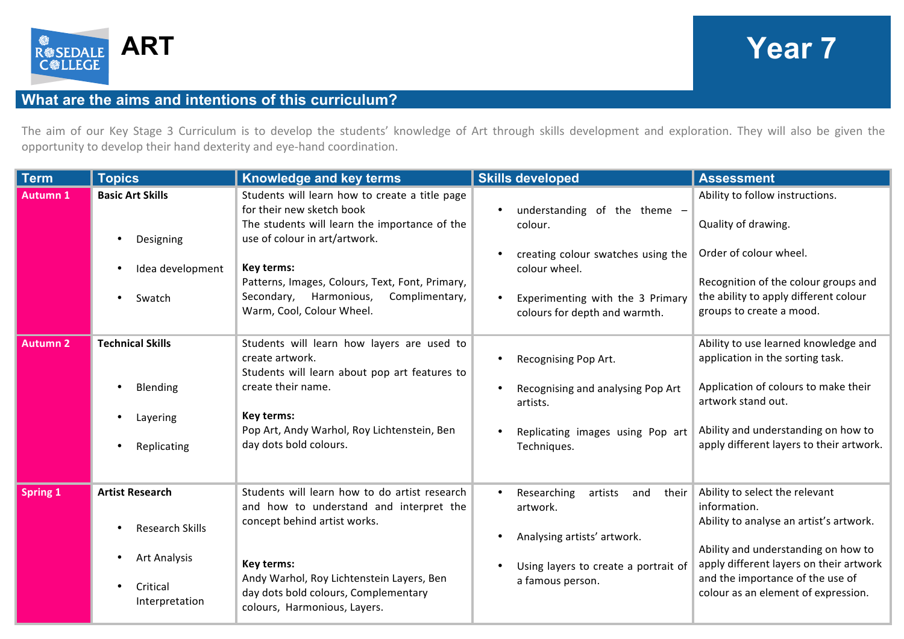

## **ART Year 7**

## **What are the aims and intentions of this curriculum?**

The aim of our Key Stage 3 Curriculum is to develop the students' knowledge of Art through skills development and exploration. They will also be given the opportunity to develop their hand dexterity and eye-hand coordination.

| <b>Term</b>     | <b>Topics</b>                                                                                  | <b>Knowledge and key terms</b>                                                                                                                                                                                                                              | <b>Skills developed</b>                                                                                                                                                 | <b>Assessment</b>                                                                                                                                                                                                                                      |
|-----------------|------------------------------------------------------------------------------------------------|-------------------------------------------------------------------------------------------------------------------------------------------------------------------------------------------------------------------------------------------------------------|-------------------------------------------------------------------------------------------------------------------------------------------------------------------------|--------------------------------------------------------------------------------------------------------------------------------------------------------------------------------------------------------------------------------------------------------|
| <b>Autumn 1</b> | <b>Basic Art Skills</b><br>Designing<br>Idea development                                       | Students will learn how to create a title page<br>for their new sketch book<br>The students will learn the importance of the<br>use of colour in art/artwork.<br>Key terms:                                                                                 | understanding of the theme -<br>$\bullet$<br>colour.<br>creating colour swatches using the<br>colour wheel.                                                             | Ability to follow instructions.<br>Quality of drawing.<br>Order of colour wheel.                                                                                                                                                                       |
|                 | Swatch                                                                                         | Patterns, Images, Colours, Text, Font, Primary,<br>Complimentary,<br>Secondary,<br>Harmonious,<br>Warm, Cool, Colour Wheel.                                                                                                                                 | Experimenting with the 3 Primary<br>colours for depth and warmth.                                                                                                       | Recognition of the colour groups and<br>the ability to apply different colour<br>groups to create a mood.                                                                                                                                              |
| <b>Autumn 2</b> | <b>Technical Skills</b><br>Blending<br>Layering<br>Replicating                                 | Students will learn how layers are used to<br>create artwork.<br>Students will learn about pop art features to<br>create their name.<br>Key terms:<br>Pop Art, Andy Warhol, Roy Lichtenstein, Ben<br>day dots bold colours.                                 | Recognising Pop Art.<br>Recognising and analysing Pop Art<br>artists.<br>Replicating images using Pop art<br>Techniques.                                                | Ability to use learned knowledge and<br>application in the sorting task.<br>Application of colours to make their<br>artwork stand out.<br>Ability and understanding on how to<br>apply different layers to their artwork.                              |
| <b>Spring 1</b> | <b>Artist Research</b><br><b>Research Skills</b><br>Art Analysis<br>Critical<br>Interpretation | Students will learn how to do artist research<br>and how to understand and interpret the<br>concept behind artist works.<br>Key terms:<br>Andy Warhol, Roy Lichtenstein Layers, Ben<br>day dots bold colours, Complementary<br>colours, Harmonious, Layers. | Researching<br>their<br>artists<br>and<br>$\bullet$<br>artwork.<br>Analysing artists' artwork.<br>$\bullet$<br>Using layers to create a portrait of<br>a famous person. | Ability to select the relevant<br>information.<br>Ability to analyse an artist's artwork.<br>Ability and understanding on how to<br>apply different layers on their artwork<br>and the importance of the use of<br>colour as an element of expression. |